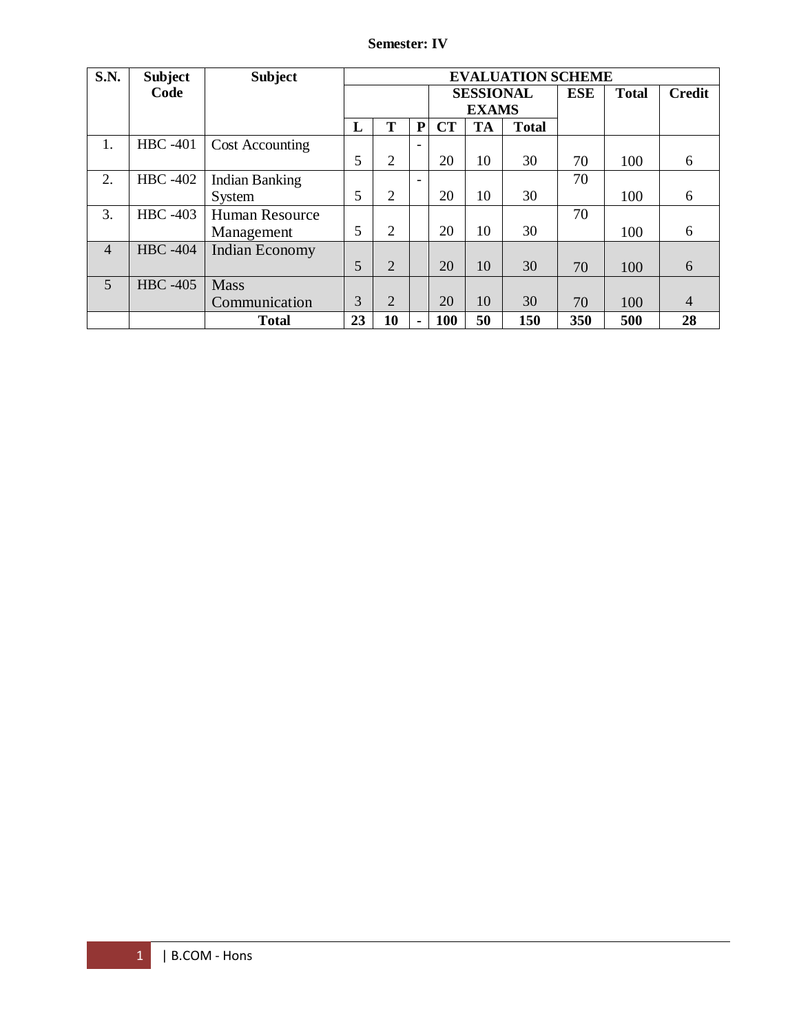# **Semester: IV**

| <b>S.N.</b>    | <b>Subject</b>  | <b>Subject</b>         | <b>EVALUATION SCHEME</b> |                |                              |           |            |              |               |     |                |
|----------------|-----------------|------------------------|--------------------------|----------------|------------------------------|-----------|------------|--------------|---------------|-----|----------------|
|                | Code            |                        |                          |                | <b>SESSIONAL</b>             |           | <b>ESE</b> | <b>Total</b> | <b>Credit</b> |     |                |
|                |                 |                        |                          |                | <b>EXAMS</b>                 |           |            |              |               |     |                |
|                |                 |                        | L                        | т              | ${\bf P}$                    | <b>CT</b> | <b>TA</b>  | <b>Total</b> |               |     |                |
| 1.             | <b>HBC</b> -401 | <b>Cost Accounting</b> |                          |                | $\qquad \qquad \blacksquare$ |           |            |              |               |     |                |
|                |                 |                        | 5                        | $\overline{2}$ |                              | 20        | 10         | 30           | 70            | 100 | 6              |
| 2.             | <b>HBC</b> -402 | <b>Indian Banking</b>  |                          |                | $\qquad \qquad \blacksquare$ |           |            |              | 70            |     |                |
|                |                 | System                 | 5                        | 2              |                              | 20        | 10         | 30           |               | 100 | 6              |
| 3.             | <b>HBC</b> -403 | Human Resource         |                          |                |                              |           |            |              | 70            |     |                |
|                |                 | Management             | 5                        | 2              |                              | 20        | 10         | 30           |               | 100 | 6              |
| $\overline{4}$ | <b>HBC</b> -404 | <b>Indian Economy</b>  |                          |                |                              |           |            |              |               |     |                |
|                |                 |                        | 5                        | $\overline{2}$ |                              | 20        | 10         | 30           | 70            | 100 | 6              |
| 5              | <b>HBC</b> -405 | <b>Mass</b>            |                          |                |                              |           |            |              |               |     |                |
|                |                 | Communication          | 3                        | $\overline{2}$ |                              | 20        | 10         | 30           | 70            | 100 | $\overline{4}$ |
|                |                 | <b>Total</b>           | 23                       | 10             | ۰                            | 100       | 50         | 150          | 350           | 500 | 28             |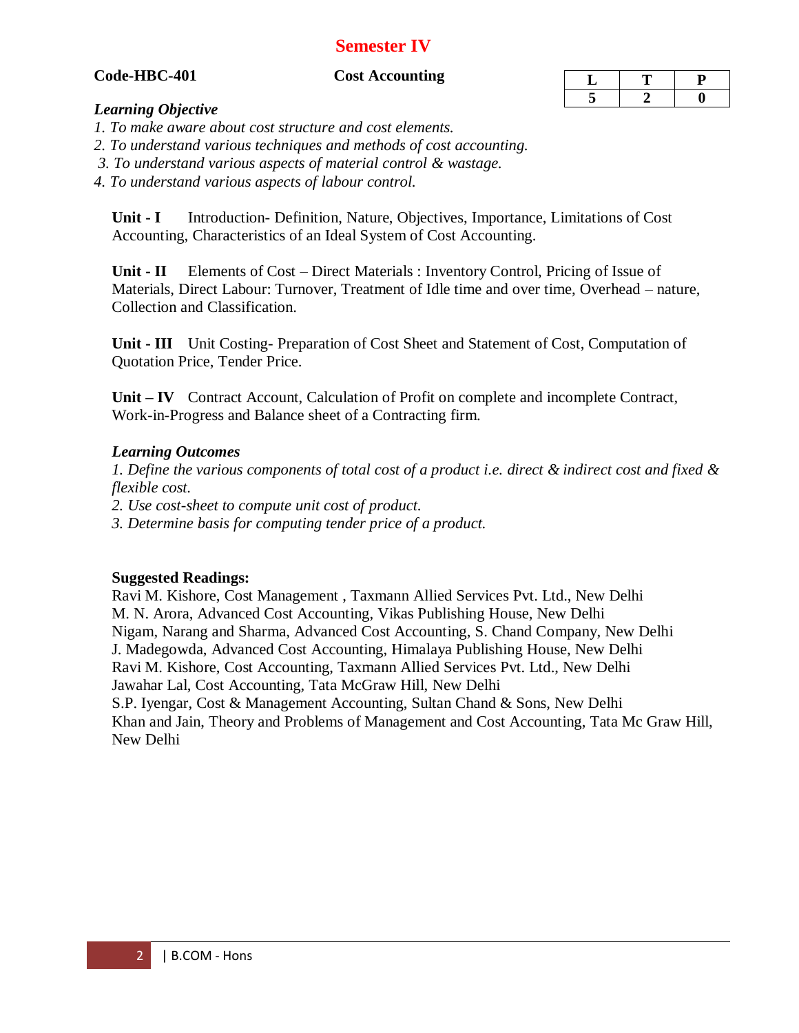# **Semester IV**

## **Code-HBC-401 Cost Accounting**

### *Learning Objective*

- *1. To make aware about cost structure and cost elements.*
- *2. To understand various techniques and methods of cost accounting.*
- *3. To understand various aspects of material control & wastage.*
- *4. To understand various aspects of labour control.*

**Unit - I** Introduction- Definition, Nature, Objectives, Importance, Limitations of Cost Accounting, Characteristics of an Ideal System of Cost Accounting.

**Unit - II** Elements of Cost – Direct Materials : Inventory Control, Pricing of Issue of Materials, Direct Labour: Turnover, Treatment of Idle time and over time, Overhead – nature, Collection and Classification.

**Unit - III** Unit Costing- Preparation of Cost Sheet and Statement of Cost, Computation of Quotation Price, Tender Price.

**Unit – IV** Contract Account, Calculation of Profit on complete and incomplete Contract, Work-in-Progress and Balance sheet of a Contracting firm.

# *Learning Outcomes*

*1. Define the various components of total cost of a product i.e. direct & indirect cost and fixed & flexible cost.* 

*2. Use cost-sheet to compute unit cost of product.* 

*3. Determine basis for computing tender price of a product.*

**Suggested Readings:**

Ravi M. Kishore, Cost Management , Taxmann Allied Services Pvt. Ltd., New Delhi M. N. Arora, Advanced Cost Accounting, Vikas Publishing House, New Delhi Nigam, Narang and Sharma, Advanced Cost Accounting, S. Chand Company, New Delhi J. Madegowda, Advanced Cost Accounting, Himalaya Publishing House, New Delhi Ravi M. Kishore, Cost Accounting, Taxmann Allied Services Pvt. Ltd., New Delhi Jawahar Lal, Cost Accounting, Tata McGraw Hill, New Delhi S.P. Iyengar, Cost & Management Accounting, Sultan Chand & Sons, New Delhi Khan and Jain, Theory and Problems of Management and Cost Accounting, Tata Mc Graw Hill, New Delhi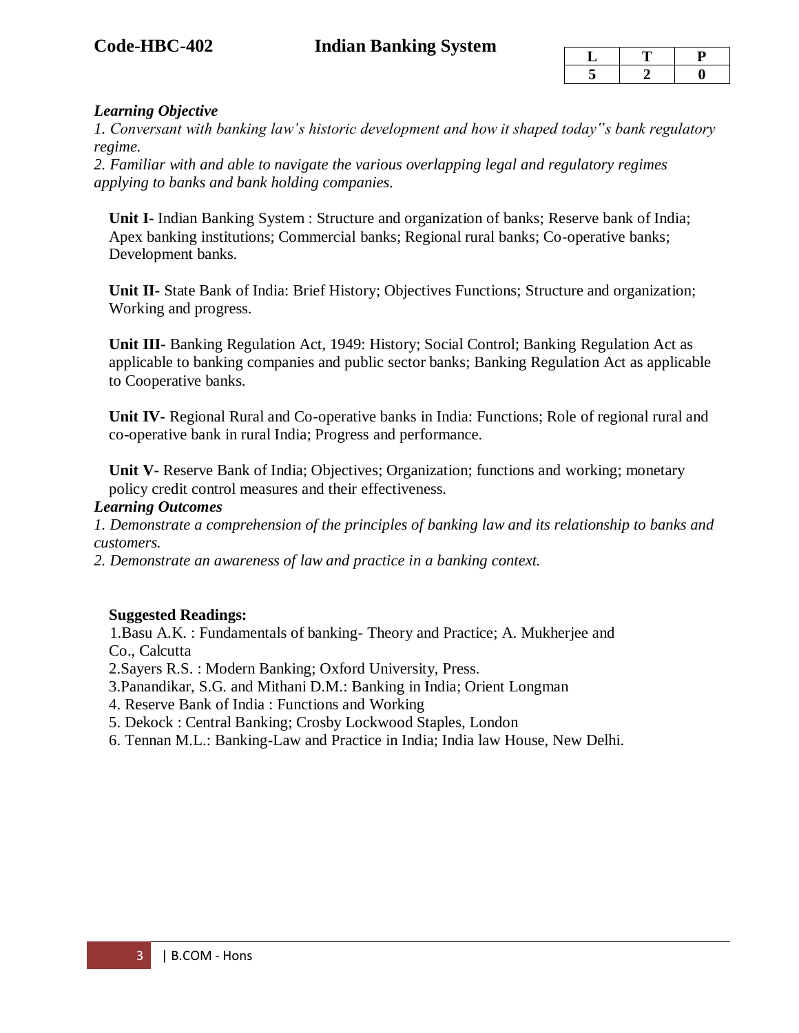# **Code-HBC-402 Indian Banking System**

# *Learning Objective*

*1. Conversant with banking law's historic development and how it shaped today"s bank regulatory regime.* 

*2. Familiar with and able to navigate the various overlapping legal and regulatory regimes applying to banks and bank holding companies.*

**Unit I-** Indian Banking System : Structure and organization of banks; Reserve bank of India; Apex banking institutions; Commercial banks; Regional rural banks; Co-operative banks; Development banks.

**Unit II-** State Bank of India: Brief History; Objectives Functions; Structure and organization; Working and progress.

**Unit III-** Banking Regulation Act, 1949: History; Social Control; Banking Regulation Act as applicable to banking companies and public sector banks; Banking Regulation Act as applicable to Cooperative banks.

**Unit IV-** Regional Rural and Co-operative banks in India: Functions; Role of regional rural and co-operative bank in rural India; Progress and performance.

**Unit V-** Reserve Bank of India; Objectives; Organization; functions and working; monetary policy credit control measures and their effectiveness.

### *Learning Outcomes*

*1. Demonstrate a comprehension of the principles of banking law and its relationship to banks and customers.* 

*2. Demonstrate an awareness of law and practice in a banking context.* 

# **Suggested Readings:**

 1.Basu A.K. : Fundamentals of banking- Theory and Practice; A. Mukherjee and Co., Calcutta

2.Sayers R.S. : Modern Banking; Oxford University, Press.

3.Panandikar, S.G. and Mithani D.M.: Banking in India; Orient Longman

4. Reserve Bank of India : Functions and Working

- 5. Dekock : Central Banking; Crosby Lockwood Staples, London
- 6. Tennan M.L.: Banking-Law and Practice in India; India law House, New Delhi.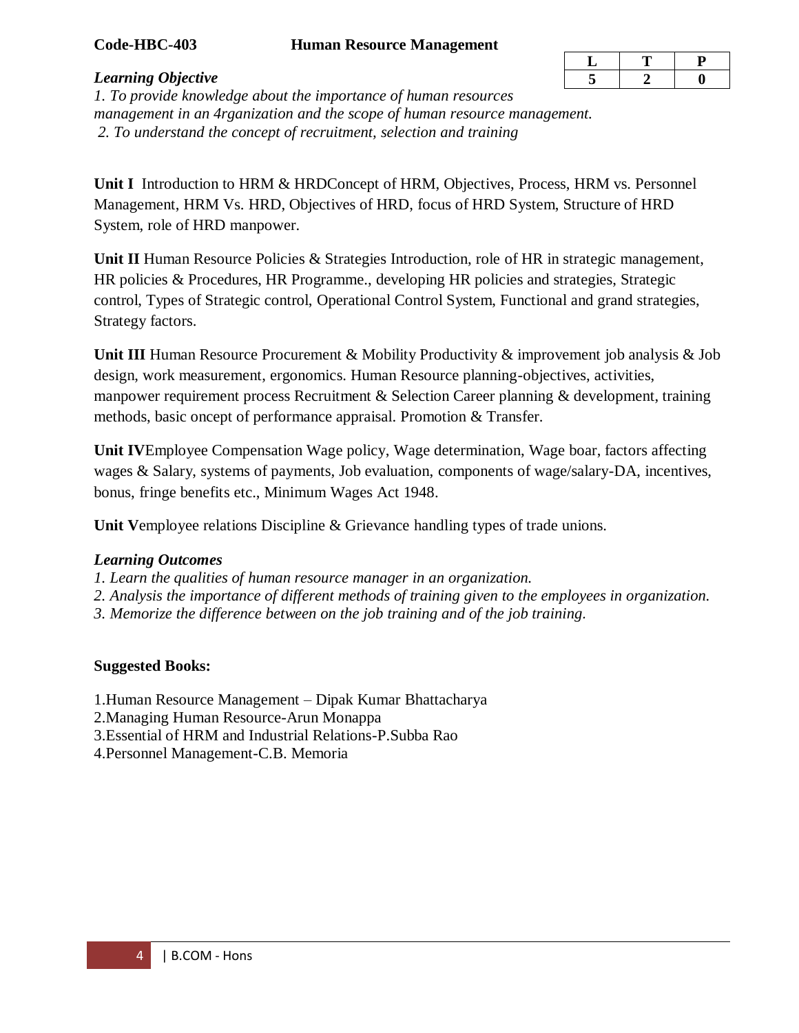### **Code-HBC-403 Human Resource Management**

| ◡ |  |
|---|--|
|   |  |

#### *Learning Objective*

*1. To provide knowledge about the importance of human resources management in an 4rganization and the scope of human resource management. 2. To understand the concept of recruitment, selection and training*

Unit I Introduction to HRM & HRDConcept of HRM, Objectives, Process, HRM vs. Personnel Management, HRM Vs. HRD, Objectives of HRD, focus of HRD System, Structure of HRD System, role of HRD manpower.

**Unit II** Human Resource Policies & Strategies Introduction, role of HR in strategic management, HR policies & Procedures, HR Programme., developing HR policies and strategies, Strategic control, Types of Strategic control, Operational Control System, Functional and grand strategies, Strategy factors.

**Unit III** Human Resource Procurement & Mobility Productivity & improvement job analysis & Job design, work measurement, ergonomics. Human Resource planning-objectives, activities, manpower requirement process Recruitment & Selection Career planning & development, training methods, basic oncept of performance appraisal. Promotion & Transfer.

**Unit IV**Employee Compensation Wage policy, Wage determination, Wage boar, factors affecting wages & Salary, systems of payments, Job evaluation, components of wage/salary-DA, incentives, bonus, fringe benefits etc., Minimum Wages Act 1948.

**Unit V**employee relations Discipline & Grievance handling types of trade unions.

### *Learning Outcomes*

*1. Learn the qualities of human resource manager in an organization.* 

- *2. Analysis the importance of different methods of training given to the employees in organization.*
- *3. Memorize the difference between on the job training and of the job training.*

# **Suggested Books:**

1.Human Resource Management – Dipak Kumar Bhattacharya

2.Managing Human Resource-Arun Monappa

- 3.Essential of HRM and Industrial Relations-P.Subba Rao
- 4.Personnel Management-C.B. Memoria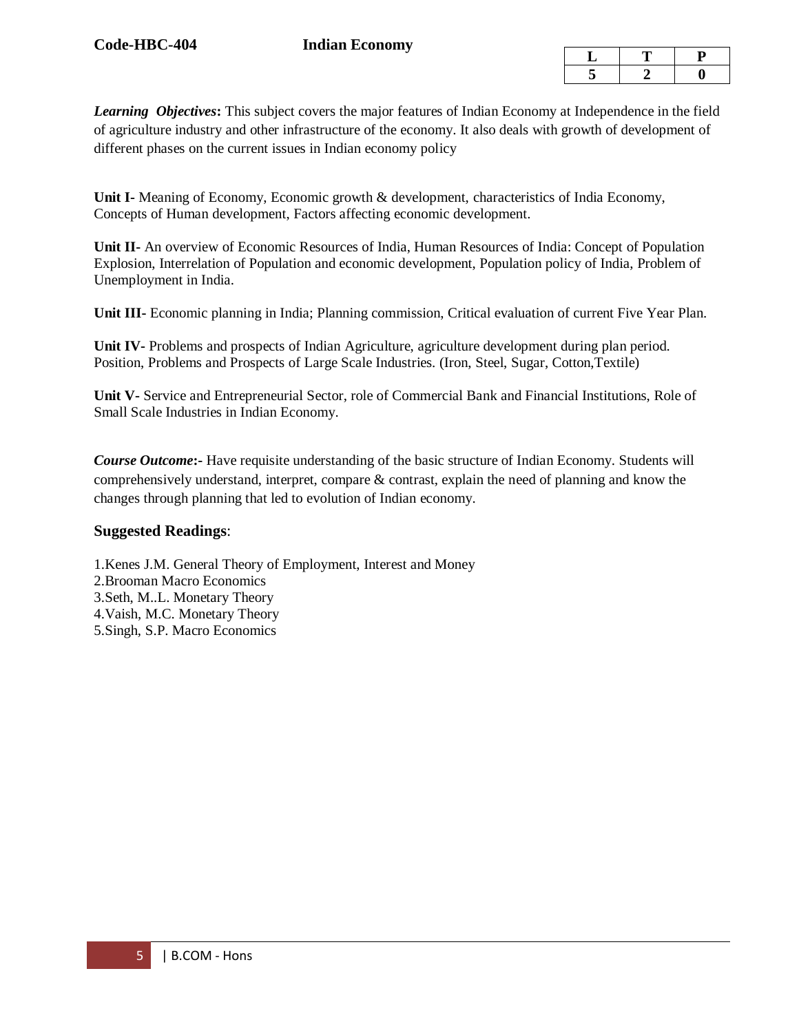*Learning Objectives***:** This subject covers the major features of Indian Economy at Independence in the field of agriculture industry and other infrastructure of the economy. It also deals with growth of development of different phases on the current issues in Indian economy policy

**Unit I-** Meaning of Economy, Economic growth & development, characteristics of India Economy, Concepts of Human development, Factors affecting economic development.

**Unit II-** An overview of Economic Resources of India, Human Resources of India: Concept of Population Explosion, Interrelation of Population and economic development, Population policy of India, Problem of Unemployment in India.

**Unit III-** Economic planning in India; Planning commission, Critical evaluation of current Five Year Plan.

**Unit IV-** Problems and prospects of Indian Agriculture, agriculture development during plan period. Position, Problems and Prospects of Large Scale Industries. (Iron, Steel, Sugar, Cotton,Textile)

**Unit V-** Service and Entrepreneurial Sector, role of Commercial Bank and Financial Institutions, Role of Small Scale Industries in Indian Economy.

*Course Outcome*: Have requisite understanding of the basic structure of Indian Economy. Students will comprehensively understand, interpret, compare & contrast, explain the need of planning and know the changes through planning that led to evolution of Indian economy.

### **Suggested Readings**:

1.Kenes J.M. General Theory of Employment, Interest and Money 2.Brooman Macro Economics 3.Seth, M..L. Monetary Theory 4.Vaish, M.C. Monetary Theory 5.Singh, S.P. Macro Economics